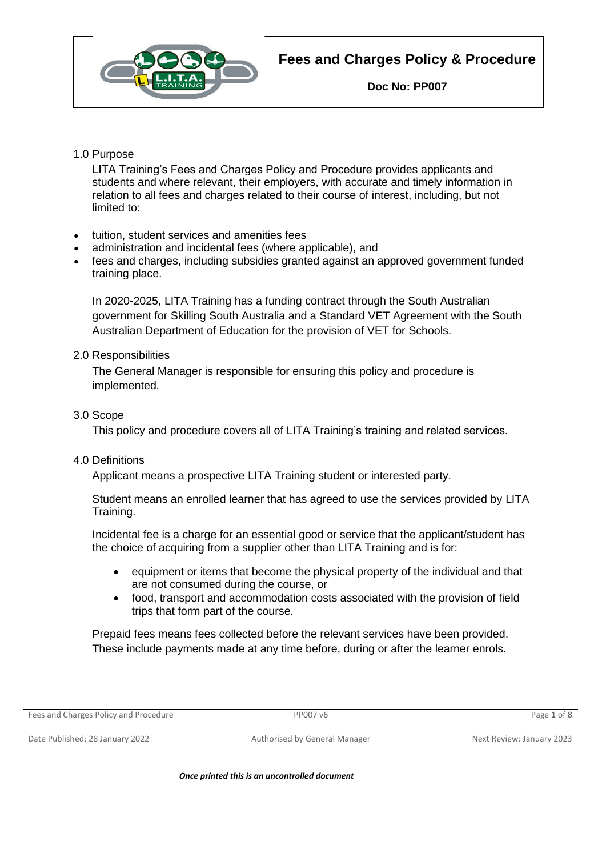

## 1.0 Purpose

LITA Training's Fees and Charges Policy and Procedure provides applicants and students and where relevant, their employers, with accurate and timely information in relation to all fees and charges related to their course of interest, including, but not limited to:

- tuition, student services and amenities fees
- administration and incidental fees (where applicable), and
- fees and charges, including subsidies granted against an approved government funded training place.

In 2020-2025, LITA Training has a funding contract through the South Australian government for Skilling South Australia and a Standard VET Agreement with the South Australian Department of Education for the provision of VET for Schools.

## 2.0 Responsibilities

The General Manager is responsible for ensuring this policy and procedure is implemented.

3.0 Scope

This policy and procedure covers all of LITA Training's training and related services.

4.0 Definitions

Applicant means a prospective LITA Training student or interested party.

Student means an enrolled learner that has agreed to use the services provided by LITA Training.

Incidental fee is a charge for an essential good or service that the applicant/student has the choice of acquiring from a supplier other than LITA Training and is for:

- equipment or items that become the physical property of the individual and that are not consumed during the course, or
- food, transport and accommodation costs associated with the provision of field trips that form part of the course.

Prepaid fees means fees collected before the relevant services have been provided. These include payments made at any time before, during or after the learner enrols.

Fees and Charges Policy and Procedure PP007 v6 Page **1** of **8**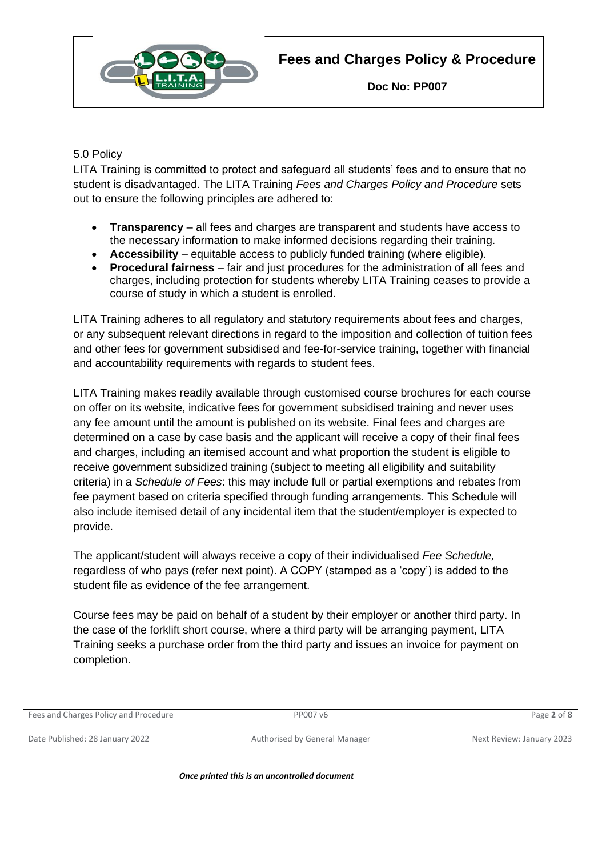

# 5.0 Policy

LITA Training is committed to protect and safeguard all students' fees and to ensure that no student is disadvantaged. The LITA Training *Fees and Charges Policy and Procedure* sets out to ensure the following principles are adhered to:

- **Transparency** all fees and charges are transparent and students have access to the necessary information to make informed decisions regarding their training.
- **Accessibility** equitable access to publicly funded training (where eligible).
- **Procedural fairness** fair and just procedures for the administration of all fees and charges, including protection for students whereby LITA Training ceases to provide a course of study in which a student is enrolled.

LITA Training adheres to all regulatory and statutory requirements about fees and charges, or any subsequent relevant directions in regard to the imposition and collection of tuition fees and other fees for government subsidised and fee-for-service training, together with financial and accountability requirements with regards to student fees.

LITA Training makes readily available through customised course brochures for each course on offer on its website, indicative fees for government subsidised training and never uses any fee amount until the amount is published on its website. Final fees and charges are determined on a case by case basis and the applicant will receive a copy of their final fees and charges, including an itemised account and what proportion the student is eligible to receive government subsidized training (subject to meeting all eligibility and suitability criteria) in a *Schedule of Fees*: this may include full or partial exemptions and rebates from fee payment based on criteria specified through funding arrangements. This Schedule will also include itemised detail of any incidental item that the student/employer is expected to provide.

The applicant/student will always receive a copy of their individualised *Fee Schedule,*  regardless of who pays (refer next point). A COPY (stamped as a 'copy') is added to the student file as evidence of the fee arrangement.

Course fees may be paid on behalf of a student by their employer or another third party. In the case of the forklift short course, where a third party will be arranging payment, LITA Training seeks a purchase order from the third party and issues an invoice for payment on completion.

Fees and Charges Policy and Procedure PP007 v6 Page **2** of **8**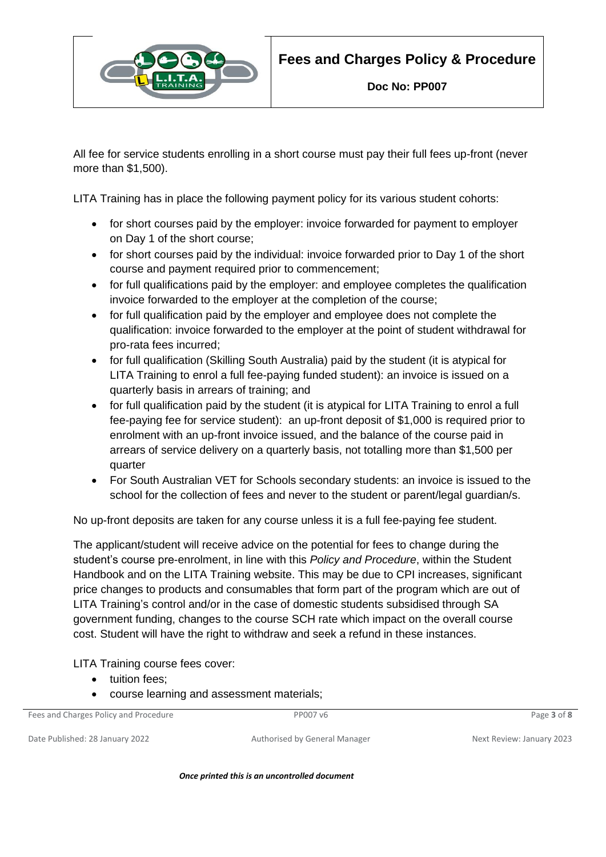

All fee for service students enrolling in a short course must pay their full fees up-front (never more than \$1,500).

LITA Training has in place the following payment policy for its various student cohorts:

- for short courses paid by the employer: invoice forwarded for payment to employer on Day 1 of the short course;
- for short courses paid by the individual: invoice forwarded prior to Day 1 of the short course and payment required prior to commencement;
- for full qualifications paid by the employer: and employee completes the qualification invoice forwarded to the employer at the completion of the course;
- for full qualification paid by the employer and employee does not complete the qualification: invoice forwarded to the employer at the point of student withdrawal for pro-rata fees incurred;
- for full qualification (Skilling South Australia) paid by the student (it is atypical for LITA Training to enrol a full fee-paying funded student): an invoice is issued on a quarterly basis in arrears of training; and
- for full qualification paid by the student (it is atypical for LITA Training to enrol a full fee-paying fee for service student): an up-front deposit of \$1,000 is required prior to enrolment with an up-front invoice issued, and the balance of the course paid in arrears of service delivery on a quarterly basis, not totalling more than \$1,500 per quarter
- For South Australian VET for Schools secondary students: an invoice is issued to the school for the collection of fees and never to the student or parent/legal guardian/s.

No up-front deposits are taken for any course unless it is a full fee-paying fee student.

The applicant/student will receive advice on the potential for fees to change during the student's course pre-enrolment, in line with this *Policy and Procedure*, within the Student Handbook and on the LITA Training website. This may be due to CPI increases, significant price changes to products and consumables that form part of the program which are out of LITA Training's control and/or in the case of domestic students subsidised through SA government funding, changes to the course SCH rate which impact on the overall course cost. Student will have the right to withdraw and seek a refund in these instances.

LITA Training course fees cover:

- tuition fees;
- course learning and assessment materials;

Fees and Charges Policy and Procedure PP007 v6 Page **3** of **8**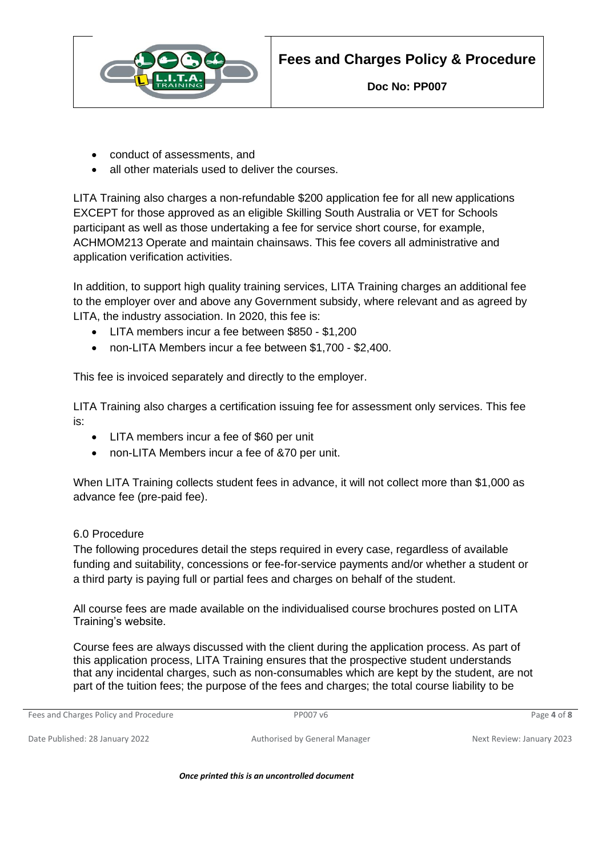

- conduct of assessments, and
- all other materials used to deliver the courses.

LITA Training also charges a non-refundable \$200 application fee for all new applications EXCEPT for those approved as an eligible Skilling South Australia or VET for Schools participant as well as those undertaking a fee for service short course, for example, ACHMOM213 Operate and maintain chainsaws. This fee covers all administrative and application verification activities.

In addition, to support high quality training services, LITA Training charges an additional fee to the employer over and above any Government subsidy, where relevant and as agreed by LITA, the industry association. In 2020, this fee is:

- LITA members incur a fee between \$850 \$1,200
- non-LITA Members incur a fee between \$1,700 \$2,400.

This fee is invoiced separately and directly to the employer.

LITA Training also charges a certification issuing fee for assessment only services. This fee is:

- LITA members incur a fee of \$60 per unit
- non-LITA Members incur a fee of &70 per unit.

When LITA Training collects student fees in advance, it will not collect more than \$1,000 as advance fee (pre-paid fee).

## 6.0 Procedure

The following procedures detail the steps required in every case, regardless of available funding and suitability, concessions or fee-for-service payments and/or whether a student or a third party is paying full or partial fees and charges on behalf of the student.

All course fees are made available on the individualised course brochures posted on LITA Training's website.

Course fees are always discussed with the client during the application process. As part of this application process, LITA Training ensures that the prospective student understands that any incidental charges, such as non-consumables which are kept by the student, are not part of the tuition fees; the purpose of the fees and charges; the total course liability to be

Fees and Charges Policy and Procedure **PP007** v6 **PP007** v6 **Page 4** of **8** Page 4 of **8**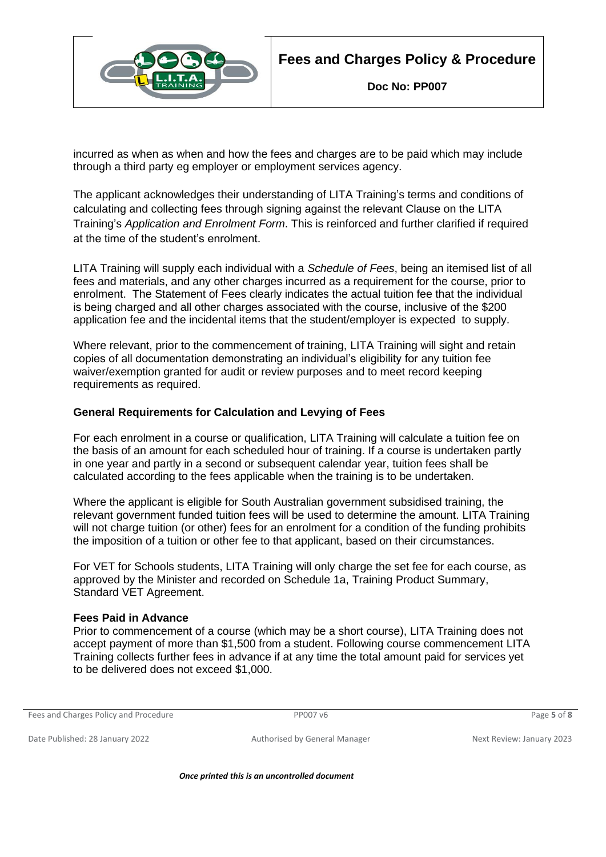

incurred as when as when and how the fees and charges are to be paid which may include through a third party eg employer or employment services agency.

The applicant acknowledges their understanding of LITA Training's terms and conditions of calculating and collecting fees through signing against the relevant Clause on the LITA Training's *Application and Enrolment Form*. This is reinforced and further clarified if required at the time of the student's enrolment.

LITA Training will supply each individual with a *Schedule of Fees*, being an itemised list of all fees and materials, and any other charges incurred as a requirement for the course, prior to enrolment. The Statement of Fees clearly indicates the actual tuition fee that the individual is being charged and all other charges associated with the course, inclusive of the \$200 application fee and the incidental items that the student/employer is expected to supply.

Where relevant, prior to the commencement of training, LITA Training will sight and retain copies of all documentation demonstrating an individual's eligibility for any tuition fee waiver/exemption granted for audit or review purposes and to meet record keeping requirements as required.

## **General Requirements for Calculation and Levying of Fees**

For each enrolment in a course or qualification, LITA Training will calculate a tuition fee on the basis of an amount for each scheduled hour of training. If a course is undertaken partly in one year and partly in a second or subsequent calendar year, tuition fees shall be calculated according to the fees applicable when the training is to be undertaken.

Where the applicant is eligible for South Australian government subsidised training, the relevant government funded tuition fees will be used to determine the amount. LITA Training will not charge tuition (or other) fees for an enrolment for a condition of the funding prohibits the imposition of a tuition or other fee to that applicant, based on their circumstances.

For VET for Schools students, LITA Training will only charge the set fee for each course, as approved by the Minister and recorded on Schedule 1a, Training Product Summary, Standard VET Agreement.

## **Fees Paid in Advance**

Prior to commencement of a course (which may be a short course), LITA Training does not accept payment of more than \$1,500 from a student. Following course commencement LITA Training collects further fees in advance if at any time the total amount paid for services yet to be delivered does not exceed \$1,000.

```
Fees and Charges Policy and Procedure PP007 v6 Page 5 of 8
```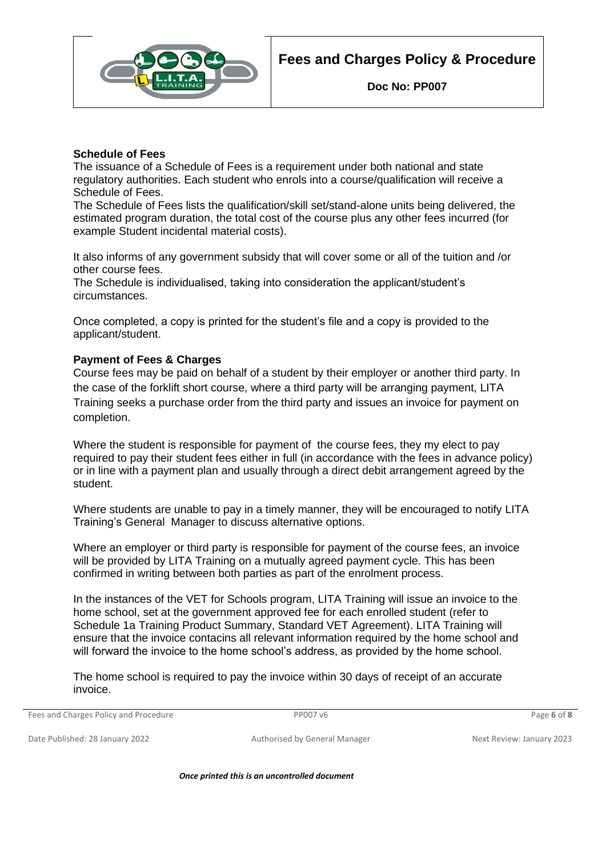



#### **Schedule of Fees**

The issuance of a Schedule of Fees is a requirement under both national and state regulatory authorities. Each student who enrols into a course/qualification will receive a Schedule of Fees.

The Schedule of Fees lists the qualification/skill set/stand-alone units being delivered, the estimated program duration, the total cost of the course plus any other fees incurred (for example Student incidental material costs).

It also informs of any government subsidy that will cover some or all of the tuition and /or other course fees.

The Schedule is individualised, taking into consideration the applicant/student's circumstances.

Once completed, a copy is printed for the student's file and a copy is provided to the applicant/student.

#### **Payment of Fees & Charges**

Course fees may be paid on behalf of a student by their employer or another third party. In the case of the forklift short course, where a third party will be arranging payment, LITA Training seeks a purchase order from the third party and issues an invoice for payment on completion.

Where the student is responsible for payment of the course fees, they my elect to pay required to pay their student fees either in full (in accordance with the fees in advance policy) or in line with a payment plan and usually through a direct debit arrangement agreed by the student.

Where students are unable to pay in a timely manner, they will be encouraged to notify LITA Training's General Manager to discuss alternative options.

Where an employer or third party is responsible for payment of the course fees, an invoice will be provided by LITA Training on a mutually agreed payment cycle. This has been confirmed in writing between both parties as part of the enrolment process.

In the instances of the VET for Schools program, LITA Training will issue an invoice to the home school, set at the government approved fee for each enrolled student (refer to Schedule 1a Training Product Summary, Standard VET Agreement). LITA Training will ensure that the invoice contacins all relevant information required by the home school and will forward the invoice to the home school's address, as provided by the home school.

The home school is required to pay the invoice within 30 days of receipt of an accurate invoice.

Fees and Charges Policy and Procedure PP007 v6 Page **6** of **8**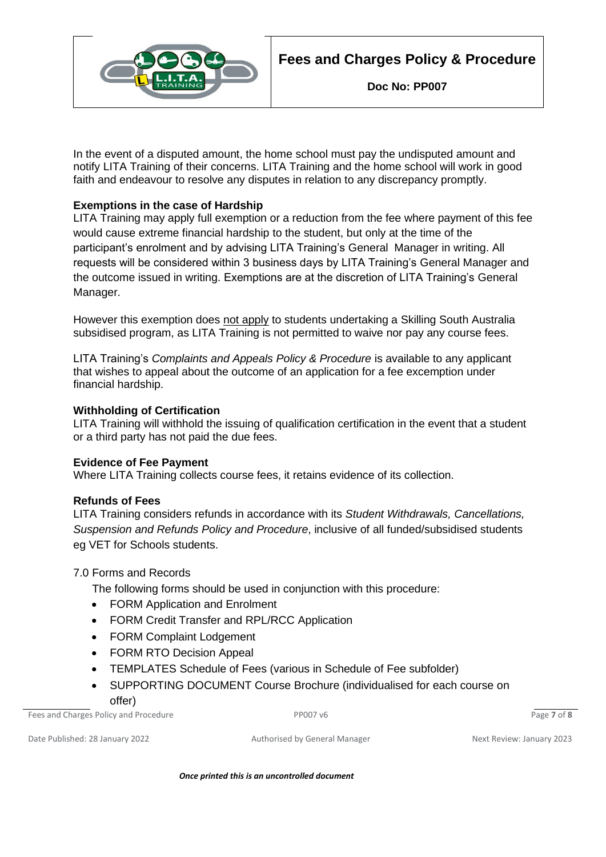



In the event of a disputed amount, the home school must pay the undisputed amount and notify LITA Training of their concerns. LITA Training and the home school will work in good faith and endeavour to resolve any disputes in relation to any discrepancy promptly.

## **Exemptions in the case of Hardship**

LITA Training may apply full exemption or a reduction from the fee where payment of this fee would cause extreme financial hardship to the student, but only at the time of the participant's enrolment and by advising LITA Training's General Manager in writing. All requests will be considered within 3 business days by LITA Training's General Manager and the outcome issued in writing. Exemptions are at the discretion of LITA Training's General Manager.

However this exemption does not apply to students undertaking a Skilling South Australia subsidised program, as LITA Training is not permitted to waive nor pay any course fees.

LITA Training's *Complaints and Appeals Policy & Procedure* is available to any applicant that wishes to appeal about the outcome of an application for a fee excemption under financial hardship.

## **Withholding of Certification**

LITA Training will withhold the issuing of qualification certification in the event that a student or a third party has not paid the due fees.

## **Evidence of Fee Payment**

Where LITA Training collects course fees, it retains evidence of its collection.

## **Refunds of Fees**

LITA Training considers refunds in accordance with its *Student Withdrawals, Cancellations, Suspension and Refunds Policy and Procedure*, inclusive of all funded/subsidised students eg VET for Schools students.

## 7.0 Forms and Records

The following forms should be used in conjunction with this procedure:

- FORM Application and Enrolment
- FORM Credit Transfer and RPL/RCC Application
- FORM Complaint Lodgement
- FORM RTO Decision Appeal
- TEMPLATES Schedule of Fees (various in Schedule of Fee subfolder)
- SUPPORTING DOCUMENT Course Brochure (individualised for each course on offer)

Fees and Charges Policy and Procedure PP007 v6 Page **7** of **8**